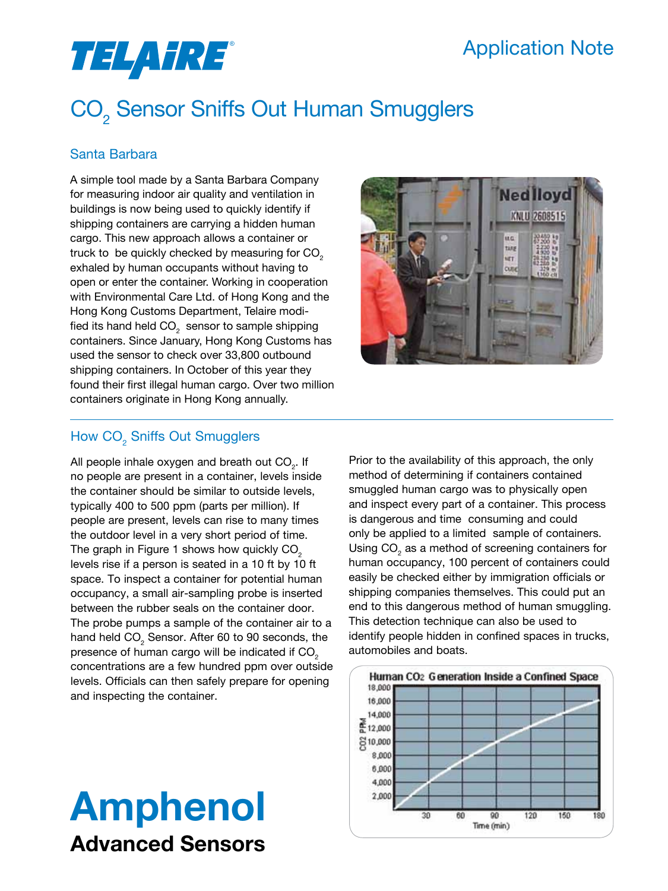### Application Note

# *TELAHRE*®

## CO<sub>2</sub> Sensor Sniffs Out Human Smugglers

### Santa Barbara

A simple tool made by a Santa Barbara Company for measuring indoor air quality and ventilation in buildings is now being used to quickly identify if shipping containers are carrying a hidden human cargo. This new approach allows a container or truck to be quickly checked by measuring for CO $_{_2}$ exhaled by human occupants without having to open or enter the container. Working in cooperation with Environmental Care Ltd. of Hong Kong and the Hong Kong Customs Department, Telaire modified its hand held CO $_{_2}$  sensor to sample shipping containers. Since January, Hong Kong Customs has used the sensor to check over 33,800 outbound shipping containers. In October of this year they found their first illegal human cargo. Over two million containers originate in Hong Kong annually.



### How  $\mathsf{CO}_2^{\times}$  Sniffs Out Smugglers

All people inhale oxygen and breath out CO<sub>2</sub>. If no people are present in a container, levels inside the container should be similar to outside levels, typically 400 to 500 ppm (parts per million). If people are present, levels can rise to many times the outdoor level in a very short period of time. The graph in Figure 1 shows how quickly  $CO<sub>2</sub>$ levels rise if a person is seated in a 10 ft by 10 ft space. To inspect a container for potential human occupancy, a small air-sampling probe is inserted between the rubber seals on the container door. The probe pumps a sample of the container air to a hand held CO $_{\tiny 2}$  Sensor. After 60 to 90 seconds, the presence of human cargo will be indicated if CO<sub>2</sub> concentrations are a few hundred ppm over outside levels. Officials can then safely prepare for opening and inspecting the container.

# Amphenol Advanced Sensors

Prior to the availability of this approach, the only method of determining if containers contained smuggled human cargo was to physically open and inspect every part of a container. This process is dangerous and time consuming and could only be applied to a limited sample of containers. Using CO $_{_2}$  as a method of screening containers for human occupancy, 100 percent of containers could easily be checked either by immigration officials or shipping companies themselves. This could put an end to this dangerous method of human smuggling. This detection technique can also be used to identify people hidden in confined spaces in trucks, automobiles and boats.